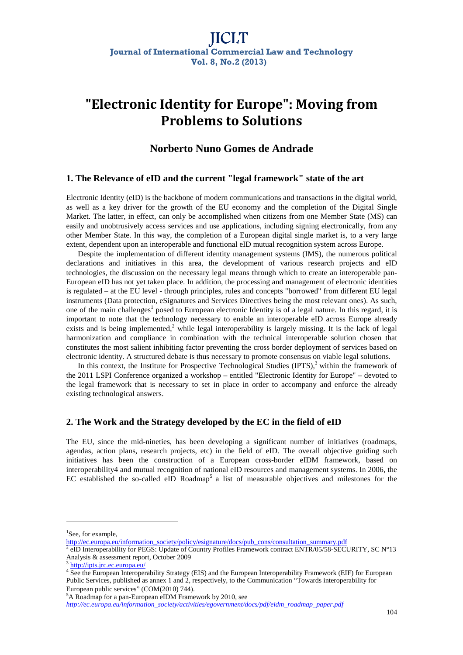# **"Electronic Identity for Europe": Moving from Problems to Solutions**

# **Norberto Nuno Gomes de Andrade**

# **1. The Relevance of eID and the current "legal framework" state of the art**

Electronic Identity (eID) is the backbone of modern communications and transactions in the digital world, as well as a key driver for the growth of the EU economy and the completion of the Digital Single Market. The latter, in effect, can only be accomplished when citizens from one Member State (MS) can easily and unobtrusively access services and use applications, including signing electronically, from any other Member State. In this way, the completion of a European digital single market is, to a very large extent, dependent upon an interoperable and functional eID mutual recognition system across Europe.

Despite the implementation of different identity management systems (IMS), the numerous political declarations and initiatives in this area, the development of various research projects and eID technologies, the discussion on the necessary legal means through which to create an interoperable pan-European eID has not yet taken place. In addition, the processing and management of electronic identities is regulated – at the EU level - through principles, rules and concepts "borrowed" from different EU legal instruments (Data protection, eSignatures and Services Directives being the most relevant ones). As such, one of the main challenges<sup>1</sup> posed to European electronic Identity is of a legal nature. In this regard, it is important to note that the technology necessary to enable an interoperable eID across Europe already exists and is being implemented,<sup>2</sup> while legal interoperability is largely missing. It is the lack of legal harmonization and compliance in combination with the technical interoperable solution chosen that constitutes the most salient inhibiting factor preventing the cross border deployment of services based on electronic identity. A structured debate is thus necessary to promote consensus on viable legal solutions.

In this context, the Institute for Prospective Technological Studies  $(IPTS)$ , within the framework of the 2011 LSPI Conference organized a workshop – entitled "Electronic Identity for Europe" – devoted to the legal framework that is necessary to set in place in order to accompany and enforce the already existing technological answers.

# **2. The Work and the Strategy developed by the EC in the field of eID**

The EU, since the mid-nineties, has been developing a significant number of initiatives (roadmaps, agendas, action plans, research projects, etc) in the field of eID. The overall objective guiding such initiatives has been the construction of a European cross-border eIDM framework, based on interoperability4 and mutual recognition of national eID resources and management systems. In 2006, the EC established the so-called eID Roadmap<sup>5</sup> a list of measurable objectives and milestones for the

 $\overline{a}$ 

<sup>&</sup>lt;sup>1</sup>See, for example,

http://ec.europa.eu/information\_society/policy/esignature/docs/pub\_cons/consultation\_summary.pdf<br>2 aID Interopershility for PEGS: Undete of Country Profiles Framework contract ENTP (05/58, SEC)

eID Interoperability for PEGS: Update of Country Profiles Framework contract ENTR/05/58-SECURITY, SC N°13 Analysis & assessment report, October 2009

<sup>3</sup> http://ipts.jrc.ec.europa.eu/

<sup>4</sup> See the European Interoperability Strategy (EIS) and the European Interoperability Framework (EIF) for European Public Services, published as annex 1 and 2, respectively, to the Communication "Towards interoperability for European public services" (COM(2010) 744).

<sup>&</sup>lt;sup>5</sup>A Roadmap for a pan-European eIDM Framework by 2010, see

*http://ec.europa.eu/information\_society/activities/egovernment/docs/pdf/eidm\_roadmap\_paper.pdf*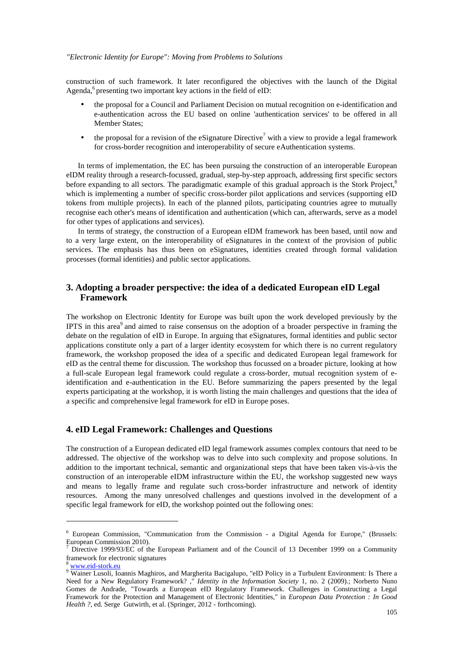#### *"Electronic Identity for Europe": Moving from Problems to Solutions*

construction of such framework. It later reconfigured the objectives with the launch of the Digital Agenda, $6$  presenting two important key actions in the field of eID:

- the proposal for a Council and Parliament Decision on mutual recognition on e-identification and e-authentication across the EU based on online 'authentication services' to be offered in all Member States;
- the proposal for a revision of the eSignature Directive<sup>7</sup> with a view to provide a legal framework for cross-border recognition and interoperability of secure eAuthentication systems.

In terms of implementation, the EC has been pursuing the construction of an interoperable European eIDM reality through a research-focussed, gradual, step-by-step approach, addressing first specific sectors before expanding to all sectors. The paradigmatic example of this gradual approach is the Stork Project,<sup>8</sup> which is implementing a number of specific cross-border pilot applications and services (supporting eID tokens from multiple projects). In each of the planned pilots, participating countries agree to mutually recognise each other's means of identification and authentication (which can, afterwards, serve as a model for other types of applications and services).

In terms of strategy, the construction of a European eIDM framework has been based, until now and to a very large extent, on the interoperability of eSignatures in the context of the provision of public services. The emphasis has thus been on eSignatures, identities created through formal validation processes (formal identities) and public sector applications.

# **3. Adopting a broader perspective: the idea of a dedicated European eID Legal Framework**

The workshop on Electronic Identity for Europe was built upon the work developed previously by the IPTS in this area<sup>9</sup> and aimed to raise consensus on the adoption of a broader perspective in framing the debate on the regulation of eID in Europe. In arguing that eSignatures, formal identities and public sector applications constitute only a part of a larger identity ecosystem for which there is no current regulatory framework, the workshop proposed the idea of a specific and dedicated European legal framework for eID as the central theme for discussion. The workshop thus focussed on a broader picture, looking at how a full-scale European legal framework could regulate a cross-border, mutual recognition system of eidentification and e-authentication in the EU. Before summarizing the papers presented by the legal experts participating at the workshop, it is worth listing the main challenges and questions that the idea of a specific and comprehensive legal framework for eID in Europe poses.

# **4. eID Legal Framework: Challenges and Questions**

The construction of a European dedicated eID legal framework assumes complex contours that need to be addressed. The objective of the workshop was to delve into such complexity and propose solutions. In addition to the important technical, semantic and organizational steps that have been taken vis-à-vis the construction of an interoperable eIDM infrastructure within the EU, the workshop suggested new ways and means to legally frame and regulate such cross-border infrastructure and network of identity resources. Among the many unresolved challenges and questions involved in the development of a specific legal framework for eID, the workshop pointed out the following ones:

 $\overline{a}$ 

<sup>6</sup> European Commission, "Communication from the Commission - a Digital Agenda for Europe," (Brussels: European Commission 2010).

<sup>&</sup>lt;sup>7</sup> Directive 1999/93/EC of the European Parliament and of the Council of 13 December 1999 on a Community framework for electronic signatures

www.eid-stork.eu

<sup>&</sup>lt;sup>9</sup> Wainer Lusoli, Ioannis Maghiros, and Margherita Bacigalupo, "eID Policy in a Turbulent Environment: Is There a Need for a New Regulatory Framework? ," *Identity in the Information Society* 1, no. 2 (2009).; Norberto Nuno Gomes de Andrade, "Towards a European eID Regulatory Framework. Challenges in Constructing a Legal Framework for the Protection and Management of Electronic Identities," in *European Data Protection : In Good Health ?*, ed. Serge Gutwirth, et al. (Springer, 2012 - forthcoming).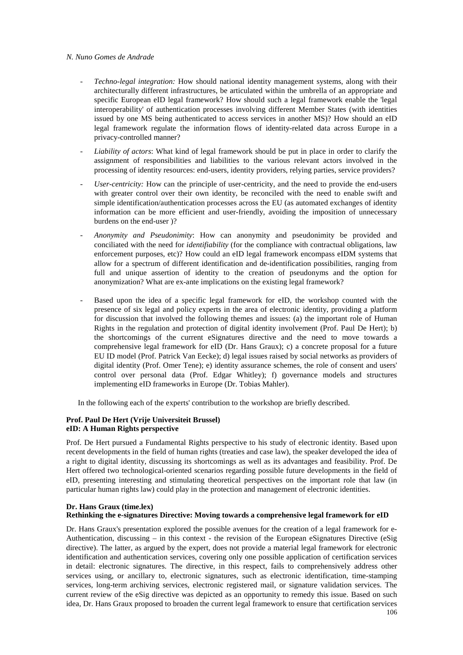#### *N. Nuno Gomes de Andrade*

- *Techno-legal integration:* How should national identity management systems, along with their architecturally different infrastructures, be articulated within the umbrella of an appropriate and specific European eID legal framework? How should such a legal framework enable the 'legal interoperability' of authentication processes involving different Member States (with identities issued by one MS being authenticated to access services in another MS)? How should an eID legal framework regulate the information flows of identity-related data across Europe in a privacy-controlled manner?
- Liability of actors: What kind of legal framework should be put in place in order to clarify the assignment of responsibilities and liabilities to the various relevant actors involved in the processing of identity resources: end-users, identity providers, relying parties, service providers?
- *User-centricity:* How can the principle of user-centricity, and the need to provide the end-users with greater control over their own identity, be reconciled with the need to enable swift and simple identification/authentication processes across the EU (as automated exchanges of identity information can be more efficient and user-friendly, avoiding the imposition of unnecessary burdens on the end-user )?
- *Anonymity and Pseudonimity*: How can anonymity and pseudonimity be provided and conciliated with the need for *identifiability* (for the compliance with contractual obligations, law enforcement purposes, etc)? How could an eID legal framework encompass eIDM systems that allow for a spectrum of different identification and de-identification possibilities, ranging from full and unique assertion of identity to the creation of pseudonyms and the option for anonymization? What are ex-ante implications on the existing legal framework?
- Based upon the idea of a specific legal framework for eID, the workshop counted with the presence of six legal and policy experts in the area of electronic identity, providing a platform for discussion that involved the following themes and issues: (a) the important role of Human Rights in the regulation and protection of digital identity involvement (Prof. Paul De Hert); b) the shortcomings of the current eSignatures directive and the need to move towards a comprehensive legal framework for eID (Dr. Hans Graux); c) a concrete proposal for a future EU ID model (Prof. Patrick Van Eecke); d) legal issues raised by social networks as providers of digital identity (Prof. Omer Tene); e) identity assurance schemes, the role of consent and users' control over personal data (Prof. Edgar Whitley); f) governance models and structures implementing eID frameworks in Europe (Dr. Tobias Mahler).

In the following each of the experts' contribution to the workshop are briefly described.

#### **Prof. Paul De Hert (Vrije Universiteit Brussel) eID: A Human Rights perspective**

Prof. De Hert pursued a Fundamental Rights perspective to his study of electronic identity. Based upon recent developments in the field of human rights (treaties and case law), the speaker developed the idea of a right to digital identity, discussing its shortcomings as well as its advantages and feasibility. Prof. De Hert offered two technological-oriented scenarios regarding possible future developments in the field of eID, presenting interesting and stimulating theoretical perspectives on the important role that law (in particular human rights law) could play in the protection and management of electronic identities.

#### **Dr. Hans Graux (time.lex) Rethinking the e-signatures Directive: Moving towards a comprehensive legal framework for eID**

Dr. Hans Graux's presentation explored the possible avenues for the creation of a legal framework for e-Authentication, discussing – in this context - the revision of the European eSignatures Directive (eSig directive). The latter, as argued by the expert, does not provide a material legal framework for electronic identification and authentication services, covering only one possible application of certification services in detail: electronic signatures. The directive, in this respect, fails to comprehensively address other services using, or ancillary to, electronic signatures, such as electronic identification, time-stamping services, long-term archiving services, electronic registered mail, or signature validation services. The current review of the eSig directive was depicted as an opportunity to remedy this issue. Based on such idea, Dr. Hans Graux proposed to broaden the current legal framework to ensure that certification services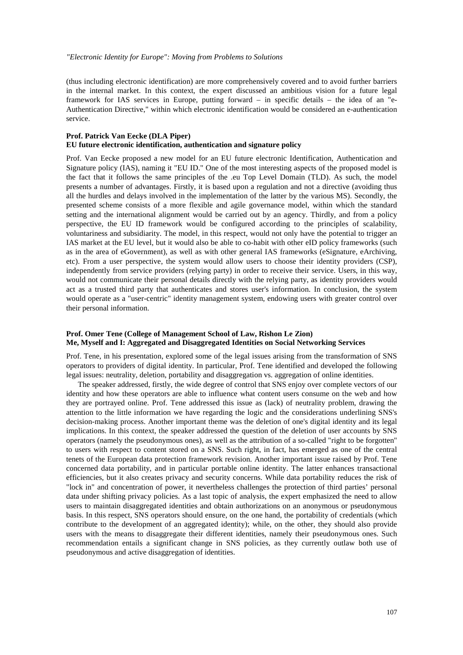(thus including electronic identification) are more comprehensively covered and to avoid further barriers in the internal market. In this context, the expert discussed an ambitious vision for a future legal framework for IAS services in Europe, putting forward – in specific details – the idea of an "e-Authentication Directive," within which electronic identification would be considered an e-authentication service.

#### **Prof. Patrick Van Eecke (DLA Piper) EU future electronic identification, authentication and signature policy**

Prof. Van Eecke proposed a new model for an EU future electronic Identification, Authentication and Signature policy (IAS), naming it "EU ID." One of the most interesting aspects of the proposed model is the fact that it follows the same principles of the .eu Top Level Domain (TLD). As such, the model presents a number of advantages. Firstly, it is based upon a regulation and not a directive (avoiding thus all the hurdles and delays involved in the implementation of the latter by the various MS). Secondly, the presented scheme consists of a more flexible and agile governance model, within which the standard setting and the international alignment would be carried out by an agency. Thirdly, and from a policy perspective, the EU ID framework would be configured according to the principles of scalability, voluntariness and subsidiarity. The model, in this respect, would not only have the potential to trigger an IAS market at the EU level, but it would also be able to co-habit with other eID policy frameworks (such as in the area of eGovernment), as well as with other general IAS frameworks (eSignature, eArchiving, etc). From a user perspective, the system would allow users to choose their identity providers (CSP), independently from service providers (relying party) in order to receive their service. Users, in this way, would not communicate their personal details directly with the relying party, as identity providers would act as a trusted third party that authenticates and stores user's information. In conclusion, the system would operate as a "user-centric" identity management system, endowing users with greater control over their personal information.

#### **Prof. Omer Tene (College of Management School of Law, Rishon Le Zion) Me, Myself and I: Aggregated and Disaggregated Identities on Social Networking Services**

Prof. Tene, in his presentation, explored some of the legal issues arising from the transformation of SNS operators to providers of digital identity. In particular, Prof. Tene identified and developed the following legal issues: neutrality, deletion, portability and disaggregation vs. aggregation of online identities.

The speaker addressed, firstly, the wide degree of control that SNS enjoy over complete vectors of our identity and how these operators are able to influence what content users consume on the web and how they are portrayed online. Prof. Tene addressed this issue as (lack) of neutrality problem, drawing the attention to the little information we have regarding the logic and the considerations underlining SNS's decision-making process. Another important theme was the deletion of one's digital identity and its legal implications. In this context, the speaker addressed the question of the deletion of user accounts by SNS operators (namely the pseudonymous ones), as well as the attribution of a so-called "right to be forgotten" to users with respect to content stored on a SNS. Such right, in fact, has emerged as one of the central tenets of the European data protection framework revision. Another important issue raised by Prof. Tene concerned data portability, and in particular portable online identity. The latter enhances transactional efficiencies, but it also creates privacy and security concerns. While data portability reduces the risk of "lock in" and concentration of power, it nevertheless challenges the protection of third parties' personal data under shifting privacy policies. As a last topic of analysis, the expert emphasized the need to allow users to maintain disaggregated identities and obtain authorizations on an anonymous or pseudonymous basis. In this respect, SNS operators should ensure, on the one hand, the portability of credentials (which contribute to the development of an aggregated identity); while, on the other, they should also provide users with the means to disaggregate their different identities, namely their pseudonymous ones. Such recommendation entails a significant change in SNS policies, as they currently outlaw both use of pseudonymous and active disaggregation of identities.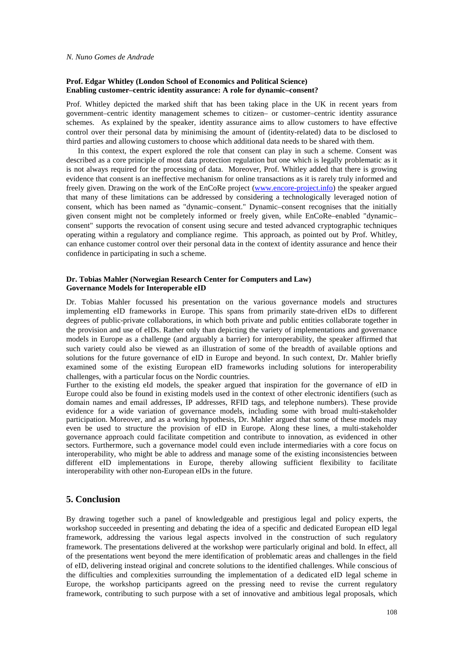#### **Prof. Edgar Whitley (London School of Economics and Political Science) Enabling customer–centric identity assurance: A role for dynamic–consent?**

Prof. Whitley depicted the marked shift that has been taking place in the UK in recent years from government–centric identity management schemes to citizen– or customer–centric identity assurance schemes. As explained by the speaker, identity assurance aims to allow customers to have effective control over their personal data by minimising the amount of (identity-related) data to be disclosed to third parties and allowing customers to choose which additional data needs to be shared with them.

In this context, the expert explored the role that consent can play in such a scheme. Consent was described as a core principle of most data protection regulation but one which is legally problematic as it is not always required for the processing of data. Moreover, Prof. Whitley added that there is growing evidence that consent is an ineffective mechanism for online transactions as it is rarely truly informed and freely given. Drawing on the work of the EnCoRe project (www.encore-project.info) the speaker argued that many of these limitations can be addressed by considering a technologically leveraged notion of consent, which has been named as "dynamic–consent." Dynamic–consent recognises that the initially given consent might not be completely informed or freely given, while EnCoRe–enabled "dynamic– consent" supports the revocation of consent using secure and tested advanced cryptographic techniques operating within a regulatory and compliance regime. This approach, as pointed out by Prof. Whitley, can enhance customer control over their personal data in the context of identity assurance and hence their confidence in participating in such a scheme.

#### **Dr. Tobias Mahler (Norwegian Research Center for Computers and Law) Governance Models for Interoperable eID**

Dr. Tobias Mahler focussed his presentation on the various governance models and structures implementing eID frameworks in Europe. This spans from primarily state-driven eIDs to different degrees of public-private collaborations, in which both private and public entities collaborate together in the provision and use of eIDs. Rather only than depicting the variety of implementations and governance models in Europe as a challenge (and arguably a barrier) for interoperability, the speaker affirmed that such variety could also be viewed as an illustration of some of the breadth of available options and solutions for the future governance of eID in Europe and beyond. In such context, Dr. Mahler briefly examined some of the existing European eID frameworks including solutions for interoperability challenges, with a particular focus on the Nordic countries.

Further to the existing eId models, the speaker argued that inspiration for the governance of eID in Europe could also be found in existing models used in the context of other electronic identifiers (such as domain names and email addresses, IP addresses, RFID tags, and telephone numbers). These provide evidence for a wide variation of governance models, including some with broad multi-stakeholder participation. Moreover, and as a working hypothesis, Dr. Mahler argued that some of these models may even be used to structure the provision of eID in Europe. Along these lines, a multi-stakeholder governance approach could facilitate competition and contribute to innovation, as evidenced in other sectors. Furthermore, such a governance model could even include intermediaries with a core focus on interoperability, who might be able to address and manage some of the existing inconsistencies between different eID implementations in Europe, thereby allowing sufficient flexibility to facilitate interoperability with other non-European eIDs in the future.

## **5. Conclusion**

By drawing together such a panel of knowledgeable and prestigious legal and policy experts, the workshop succeeded in presenting and debating the idea of a specific and dedicated European eID legal framework, addressing the various legal aspects involved in the construction of such regulatory framework. The presentations delivered at the workshop were particularly original and bold. In effect, all of the presentations went beyond the mere identification of problematic areas and challenges in the field of eID, delivering instead original and concrete solutions to the identified challenges. While conscious of the difficulties and complexities surrounding the implementation of a dedicated eID legal scheme in Europe, the workshop participants agreed on the pressing need to revise the current regulatory framework, contributing to such purpose with a set of innovative and ambitious legal proposals, which